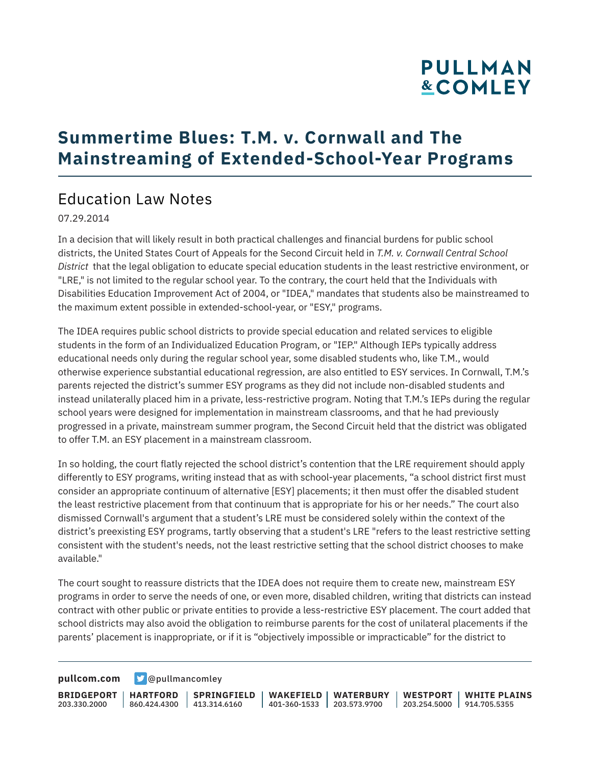# **PULLMAN &COMLEY**

### **Summertime Blues: T.M. v. Cornwall and The Mainstreaming of Extended-School-Year Programs**

#### Education Law Notes

07.29.2014

In a decision that will likely result in both practical challenges and financial burdens for public school districts, the United States Court of Appeals for the Second Circuit held in *T.M. v. Cornwall Central School District* that the legal obligation to educate special education students in the least restrictive environment, or "LRE," is not limited to the regular school year. To the contrary, the court held that the Individuals with Disabilities Education Improvement Act of 2004, or "IDEA," mandates that students also be mainstreamed to the maximum extent possible in extended-school-year, or "ESY," programs.

The IDEA requires public school districts to provide special education and related services to eligible students in the form of an Individualized Education Program, or "IEP." Although IEPs typically address educational needs only during the regular school year, some disabled students who, like T.M., would otherwise experience substantial educational regression, are also entitled to ESY services. In Cornwall, T.M.'s parents rejected the district's summer ESY programs as they did not include non-disabled students and instead unilaterally placed him in a private, less-restrictive program. Noting that T.M.'s IEPs during the regular school years were designed for implementation in mainstream classrooms, and that he had previously progressed in a private, mainstream summer program, the Second Circuit held that the district was obligated to offer T.M. an ESY placement in a mainstream classroom.

In so holding, the court flatly rejected the school district's contention that the LRE requirement should apply differently to ESY programs, writing instead that as with school-year placements, "a school district first must consider an appropriate continuum of alternative [ESY] placements; it then must offer the disabled student the least restrictive placement from that continuum that is appropriate for his or her needs." The court also dismissed Cornwall's argument that a student's LRE must be considered solely within the context of the district's preexisting ESY programs, tartly observing that a student's LRE "refers to the least restrictive setting consistent with the student's needs, not the least restrictive setting that the school district chooses to make available."

The court sought to reassure districts that the IDEA does not require them to create new, mainstream ESY programs in order to serve the needs of one, or even more, disabled children, writing that districts can instead contract with other public or private entities to provide a less-restrictive ESY placement. The court added that school districts may also avoid the obligation to reimburse parents for the cost of unilateral placements if the parents' placement is inappropriate, or if it is "objectively impossible or impracticable" for the district to

**[pullcom.com](https://www.pullcom.com) g** [@pullmancomley](https://twitter.com/PullmanComley)

**BRIDGEPORT** 203.330.2000

**HARTFORD**

860.424.4300 413.314.6160 **SPRINGFIELD** **WAKEFIELD WATERBURY** 401-360-1533 203.573.9700